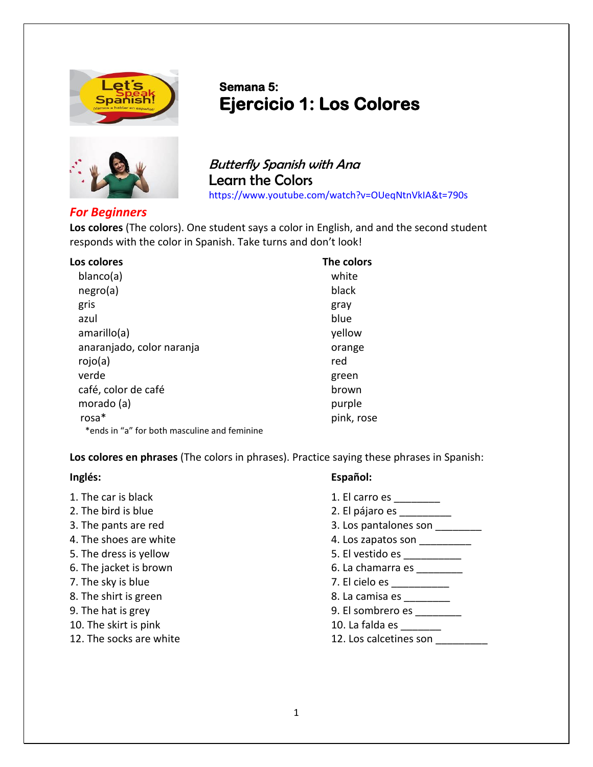



## **Semana 5: Ejercicio 1: Los Colores**

Butterfly Spanish with Ana Learn the Colors <https://www.youtube.com/watch?v=OUeqNtnVkIA&t=790s>

## *For Beginners*

**Los colores** (The colors). One student says a color in English, and and the second student responds with the color in Spanish. Take turns and don't look!

| Los colores                                  | The colors |
|----------------------------------------------|------------|
| blanco(a)                                    | white      |
| negro(a)                                     | black      |
| gris                                         | gray       |
| azul                                         | blue       |
| amarillo(a)                                  | yellow     |
| anaranjado, color naranja                    | orange     |
| rojo(a)                                      | red        |
| verde                                        | green      |
| café, color de café                          | brown      |
| morado (a)                                   | purple     |
| $rosa*$                                      | pink, rose |
| *ends in "a" for both masculine and feminine |            |

**Los colores en phrases** (The colors in phrases). Practice saying these phrases in Spanish:

| Inglés:                 | Español:               |
|-------------------------|------------------------|
| 1. The car is black     | 1. El carro es         |
| 2. The bird is blue     | 2. El pájaro es        |
| 3. The pants are red    | 3. Los pantalones son  |
| 4. The shoes are white  | 4. Los zapatos son     |
| 5. The dress is yellow  | 5. El vestido es       |
| 6. The jacket is brown  | 6. La chamarra es      |
| 7. The sky is blue      | 7. El cielo es         |
| 8. The shirt is green   | 8. La camisa es        |
| 9. The hat is grey      | 9. El sombrero es      |
| 10. The skirt is pink   | 10. La falda es        |
| 12. The socks are white | 12. Los calcetines son |